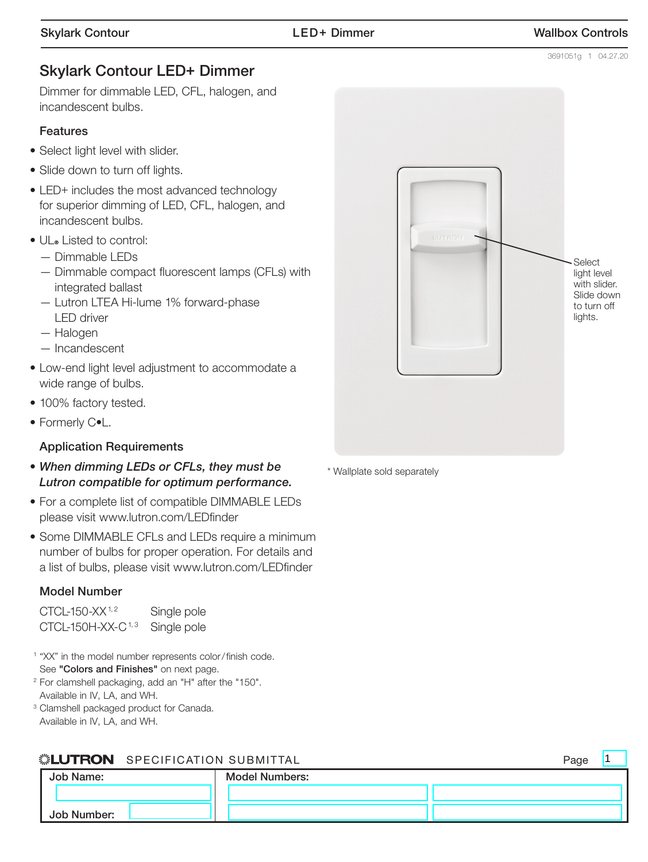$\overline{1}$ 

# Skylark Contour LED+ Dimmer

 Dimmer for dimmable LED, CFL, halogen, and incandescent bulbs.

#### Features

- Select light level with slider.
- Slide down to turn off lights.
- LED+ includes the most advanced technology for superior dimming of LED, CFL, halogen, and incandescent bulbs.
- UL® Listed to control:
	- Dimmable LEDs
	- Dimmable compact fluorescent lamps (CFLs) with integrated ballast
	- Lutron LTEA Hi-lume 1% forward-phase LED driver
	- Halogen
	- Incandescent
- Low-end light level adjustment to accommodate a wide range of bulbs.
- 100% factory tested.
- Formerly C•L.

#### Application Requirements

- *When dimming LEDs or CFLs, they must be Lutron compatible for optimum performance.*
- For a complete list of compatible DIMMABLE LEDs please visit www.lutron.com/LEDfinder
- Some DIMMABLE CFLs and LEDs require a minimum number of bulbs for proper operation. For details and a list of bulbs, please visit www.lutron.com/LEDfinder

#### Model Number

| CTCL-150-XX <sup>1,2</sup>    | Single pole |
|-------------------------------|-------------|
| CTCL-150H-XX-C <sup>1,3</sup> | Single pole |

<sup>1</sup> "XX" in the model number represents color/finish code. See "Colors and Finishes" on next page.

- <sup>2</sup> For clamshell packaging, add an "H" after the "150". Available in IV, LA, and WH.
- <sup>3</sup> Clamshell packaged product for Canada. Available in IV, LA, and WH.

## SPECIFICATION SUBMITTAL Page

| Job Name:   | <b>Model Numbers:</b> |  |
|-------------|-----------------------|--|
|             |                       |  |
| Job Number: |                       |  |



\* Wallplate sold separately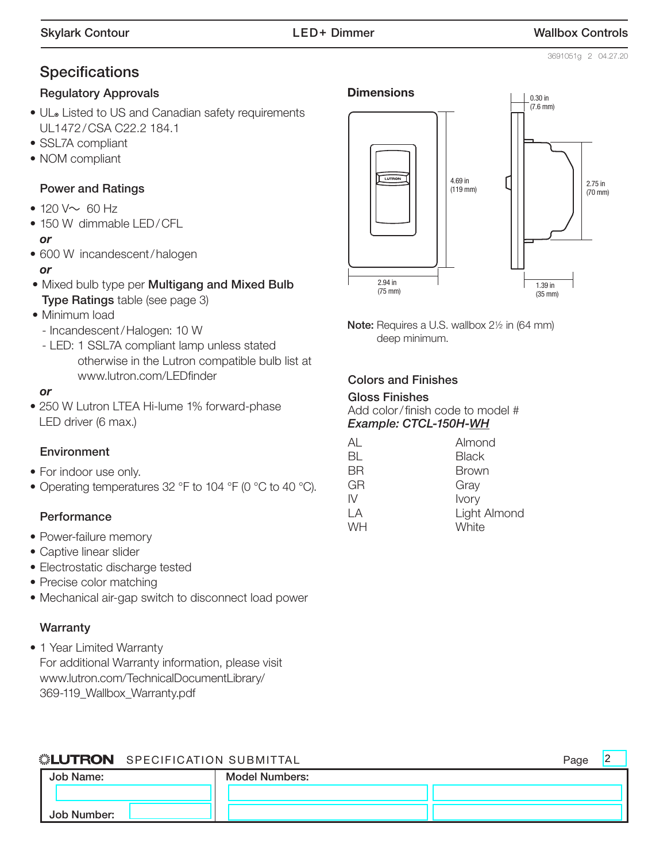# **Specifications**

#### Regulatory Approvals

- UL. Listed to US and Canadian safety requirements UL1472/CSA C22.2 184.1
- SSL7A compliant
- NOM compliant

#### Power and Ratings

- 120  $V \sim 60$  Hz
- 150 W dimmable LED/CFL

#### *or*

- 600 W incandescent/halogen *or*
- Mixed bulb type per Multigang and Mixed Bulb Type Ratings table (see page 3)
- Minimum load
	- Incandescent/Halogen: 10 W
	- LED: 1 SSL7A compliant lamp unless stated otherwise in the Lutron compatible bulb list at www.lutron.com/LEDfinder

#### *or*

• 250 W Lutron LTEA Hi-lume 1% forward-phase LED driver (6 max.)

#### **Environment**

- For indoor use only.
- Operating temperatures 32 °F to 104 °F (0 °C to 40 °C).

#### **Performance**

- Power-failure memory
- Captive linear slider
- Electrostatic discharge tested
- Precise color matching
- Mechanical air-gap switch to disconnect load power

#### **Warranty**

• 1 Year Limited Warranty For additional Warranty information, please visit [www.lutron.com/TechnicalDocumentLibrary/](www.lutron.com/TechnicalDocumentLibrary/369-119_Wallbox_Warranty.pdf) 369-119\_Wallbox\_Warranty.pdf



Note: Requires a U.S. wallbox 2<sup>1/2</sup> in (64 mm) deep minimum.

#### Colors and Finishes

#### Gloss Finishes Add color/ finish code to model # *Example: CTCL-150H-WH*

| AL        | Almond       |
|-----------|--------------|
| BL        | <b>Black</b> |
| ΒR        | <b>Brown</b> |
| GR        | Gray         |
| W         | Ivory        |
| ΙA        | Light Almond |
| <b>WH</b> | White        |
|           |              |

|             | <b>ILUTRON</b> SPECIFICATION SUBMITTAL |                       | Page |  |
|-------------|----------------------------------------|-----------------------|------|--|
| Job Name:   |                                        | <b>Model Numbers:</b> |      |  |
|             |                                        |                       |      |  |
| Job Number: |                                        |                       |      |  |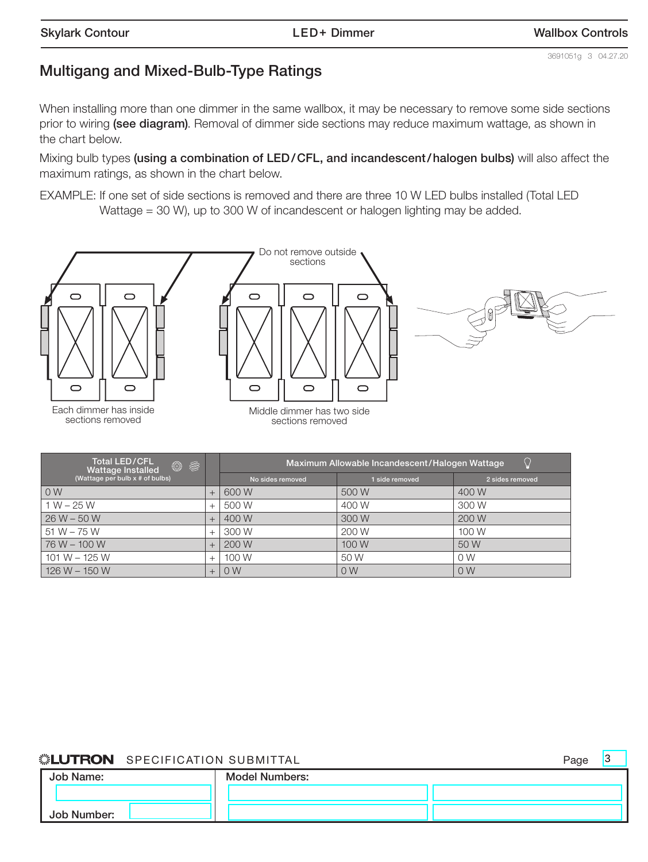3

# Multigang and Mixed-Bulb-Type Ratings

When installing more than one dimmer in the same wallbox, it may be necessary to remove some side sections prior to wiring (see diagram). Removal of dimmer side sections may reduce maximum wattage, as shown in the chart below.

Mixing bulb types (using a combination of LED/CFL, and incandescent/halogen bulbs) will also affect the maximum ratings, as shown in the chart below.

EXAMPLE: If one set of side sections is removed and there are three 10 W LED bulbs installed (Total LED Wattage = 30 W), up to 300 W of incandescent or halogen lighting may be added.



| <b>Total LED/CFL</b><br>◎ 参<br>Wattage Installed |        | Maximum Allowable Incandescent/Halogen Wattage |                |                 |
|--------------------------------------------------|--------|------------------------------------------------|----------------|-----------------|
| (Wattage per bulb $x \#$ of bulbs)               |        | No sides removed                               | 1 side removed | 2 sides removed |
| 0 <sub>W</sub>                                   |        | 600 W                                          | 500 W          | 400 W           |
| $1 W - 25 W$                                     |        | 500 W                                          | 400 W          | 300 W           |
| $26 W - 50 W$                                    |        | 400 W                                          | 300 W          | 200 W           |
| $51 W - 75 W$                                    |        | 300 W                                          | 200 W          | 100 W           |
| 76 W - 100 W                                     |        | 200 W                                          | 100 W          | 50 W            |
| $101 W - 125 W$                                  | $^{+}$ | 100 W                                          | 50 W           | 0 W             |
| $126 W - 150 W$                                  |        | 0 <sub>W</sub>                                 | 0 <sub>W</sub> | 0W              |

#### SPECIFICATION SUBMITTAL **Page** ▒LUTRON

Job Name: Job Number: Model Numbers: